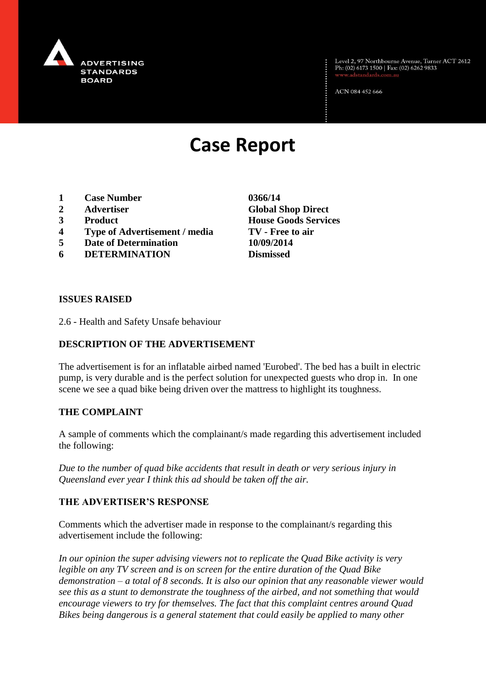

Level 2, 97 Northbourne Avenue, Turner ACT 2612<br>Ph: (02) 6173 1500 | Fax: (02) 6262 9833

ACN 084 452 666

# **Case Report**

- **1 Case Number 0366/14**
- 
- 
- **4 Type of Advertisement / media TV - Free to air**
- **5 Date of Determination 10/09/2014**
- **6 DETERMINATION Dismissed**

**2 Advertiser Global Shop Direct 3 Product House Goods Services**

### **ISSUES RAISED**

2.6 - Health and Safety Unsafe behaviour

# **DESCRIPTION OF THE ADVERTISEMENT**

The advertisement is for an inflatable airbed named 'Eurobed'. The bed has a built in electric pump, is very durable and is the perfect solution for unexpected guests who drop in. In one scene we see a quad bike being driven over the mattress to highlight its toughness.

## **THE COMPLAINT**

A sample of comments which the complainant/s made regarding this advertisement included the following:

*Due to the number of quad bike accidents that result in death or very serious injury in Queensland ever year I think this ad should be taken off the air.*

### **THE ADVERTISER'S RESPONSE**

Comments which the advertiser made in response to the complainant/s regarding this advertisement include the following:

*In our opinion the super advising viewers not to replicate the Quad Bike activity is very legible on any TV screen and is on screen for the entire duration of the Quad Bike demonstration – a total of 8 seconds. It is also our opinion that any reasonable viewer would see this as a stunt to demonstrate the toughness of the airbed, and not something that would encourage viewers to try for themselves. The fact that this complaint centres around Quad Bikes being dangerous is a general statement that could easily be applied to many other*